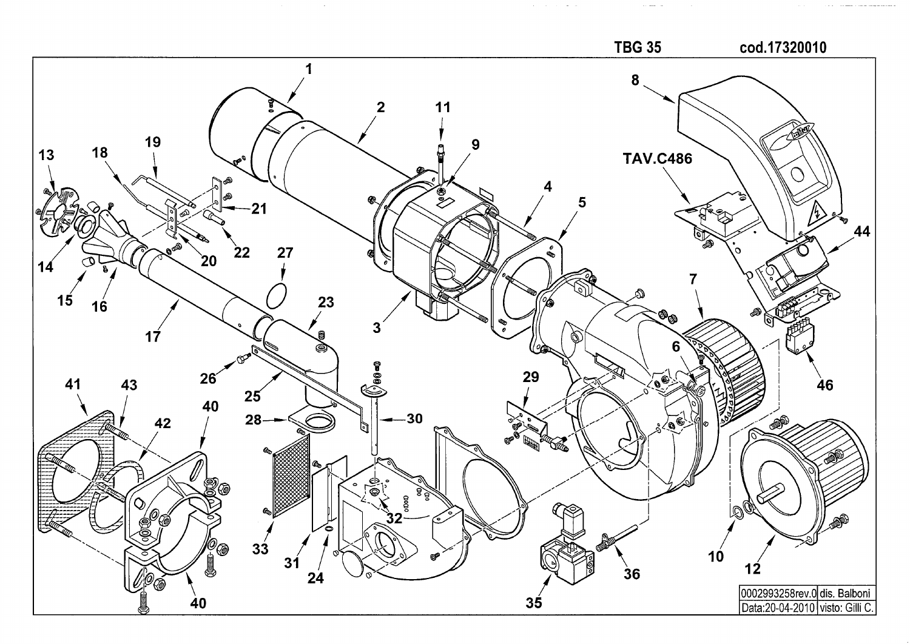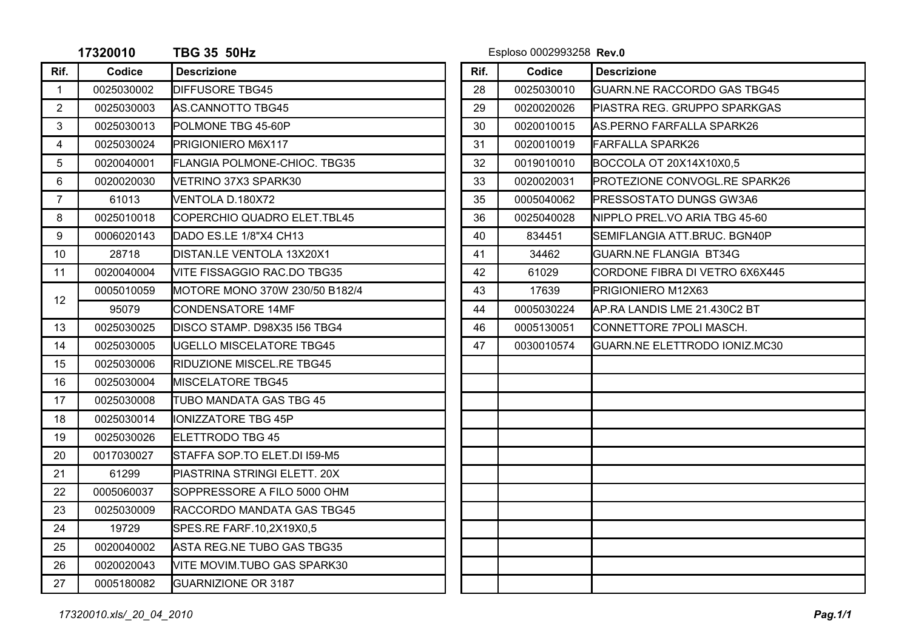|                | 17320010   | <b>TBG 35 50Hz</b>              |      | Esploso 0002993258 Rev.0 |                                    |
|----------------|------------|---------------------------------|------|--------------------------|------------------------------------|
| Rif.           | Codice     | <b>Descrizione</b>              | Rif. | Codice                   | <b>Descrizione</b>                 |
| $\mathbf{1}$   | 0025030002 | <b>DIFFUSORE TBG45</b>          | 28   | 0025030010               | <b>GUARN.NE RACCORDO GAS TBG45</b> |
| $\overline{2}$ | 0025030003 | AS.CANNOTTO TBG45               | 29   | 0020020026               | IPIASTRA REG. GRUPPO SPARKGAS      |
| 3              | 0025030013 | POLMONE TBG 45-60P              | 30   | 0020010015               | AS.PERNO FARFALLA SPARK26          |
| 4              | 0025030024 | PRIGIONIERO M6X117              | 31   | 0020010019               | <b>FARFALLA SPARK26</b>            |
| 5              | 0020040001 | FLANGIA POLMONE-CHIOC. TBG35    | 32   | 0019010010               | BOCCOLA OT 20X14X10X0,5            |
| 6              | 0020020030 | VETRINO 37X3 SPARK30            | 33   | 0020020031               | PROTEZIONE CONVOGL.RE SPARK26      |
| $\overline{7}$ | 61013      | VENTOLA D.180X72                | 35   | 0005040062               | <b>PRESSOSTATO DUNGS GW3A6</b>     |
| 8              | 0025010018 | ICOPERCHIO QUADRO ELET.TBL45    | 36   | 0025040028               | NIPPLO PREL.VO ARIA TBG 45-60      |
| 9              | 0006020143 | DADO ES.LE 1/8"X4 CH13          | 40   | 834451                   | SEMIFLANGIA ATT.BRUC. BGN40P       |
| 10             | 28718      | DISTAN.LE VENTOLA 13X20X1       | 41   | 34462                    | IGUARN.NE FLANGIA BT34G            |
| 11             | 0020040004 | VITE FISSAGGIO RAC.DO TBG35     | 42   | 61029                    | CORDONE FIBRA DI VETRO 6X6X445     |
| 12             | 0005010059 | IMOTORE MONO 370W 230/50 B182/4 | 43   | 17639                    | PRIGIONIERO M12X63                 |
|                | 95079      | CONDENSATORE 14MF               | 44   | 0005030224               | AP.RA LANDIS LME 21.430C2 BT       |
| 13             | 0025030025 | IDISCO STAMP. D98X35 I56 TBG4   | 46   | 0005130051               | ICONNETTORE 7POLI MASCH.           |
| 14             | 0025030005 | IUGELLO MISCELATORE TBG45       | 47   | 0030010574               | GUARN.NE ELETTRODO IONIZ.MC30      |
| 15             | 0025030006 | RIDUZIONE MISCEL.RE TBG45       |      |                          |                                    |
| 16             | 0025030004 | <b>IMISCELATORE TBG45</b>       |      |                          |                                    |
| 17             | 0025030008 | TUBO MANDATA GAS TBG 45         |      |                          |                                    |
| 18             | 0025030014 | <b>IONIZZATORE TBG 45P</b>      |      |                          |                                    |
| 19             | 0025030026 | ELETTRODO TBG 45                |      |                          |                                    |
| 20             | 0017030027 | STAFFA SOP.TO ELET.DI 159-M5    |      |                          |                                    |
| 21             | 61299      | PIASTRINA STRINGI ELETT. 20X    |      |                          |                                    |
| 22             | 0005060037 | SOPPRESSORE A FILO 5000 OHM     |      |                          |                                    |
| 23             | 0025030009 | RACCORDO MANDATA GAS TBG45      |      |                          |                                    |
| 24             | 19729      | SPES.RE FARF.10,2X19X0,5        |      |                          |                                    |
| 25             | 0020040002 | ASTA REG.NE TUBO GAS TBG35      |      |                          |                                    |
| 26             | 0020020043 | VITE MOVIM.TUBO GAS SPARK30     |      |                          |                                    |
| 27             | 0005180082 | <b>GUARNIZIONE OR 3187</b>      |      |                          |                                    |
|                |            |                                 |      |                          |                                    |

**TBG 35 50Hz** Esploso 0002993258 **Rev.0**

| Rif. | Codice     | <b>Descrizione</b>                 |
|------|------------|------------------------------------|
| 28   | 0025030010 | <b>GUARN.NE RACCORDO GAS TBG45</b> |
| 29   | 0020020026 | PIASTRA REG. GRUPPO SPARKGAS       |
| 30   | 0020010015 | AS.PERNO FARFALLA SPARK26          |
| 31   | 0020010019 | <b>FARFALLA SPARK26</b>            |
| 32   | 0019010010 | BOCCOLA OT 20X14X10X0,5            |
| 33   | 0020020031 | PROTEZIONE CONVOGL.RE SPARK26      |
| 35   | 0005040062 | PRESSOSTATO DUNGS GW3A6            |
| 36   | 0025040028 | NIPPLO PREL.VO ARIA TBG 45-60      |
| 40   | 834451     | SEMIFLANGIA ATT.BRUC. BGN40P       |
| 41   | 34462      | <b>GUARN.NE FLANGIA BT34G</b>      |
| 42   | 61029      | CORDONE FIBRA DI VETRO 6X6X445     |
| 43   | 17639      | PRIGIONIERO M12X63                 |
| 44   | 0005030224 | AP.RA LANDIS LME 21.430C2 BT       |
| 46   | 0005130051 | CONNETTORE 7POLI MASCH.            |
| 47   | 0030010574 | GUARN.NE ELETTRODO IONIZ.MC30      |
|      |            |                                    |
|      |            |                                    |
|      |            |                                    |
|      |            |                                    |
|      |            |                                    |
|      |            |                                    |
|      |            |                                    |
|      |            |                                    |
|      |            |                                    |
|      |            |                                    |
|      |            |                                    |
|      |            |                                    |
|      |            |                                    |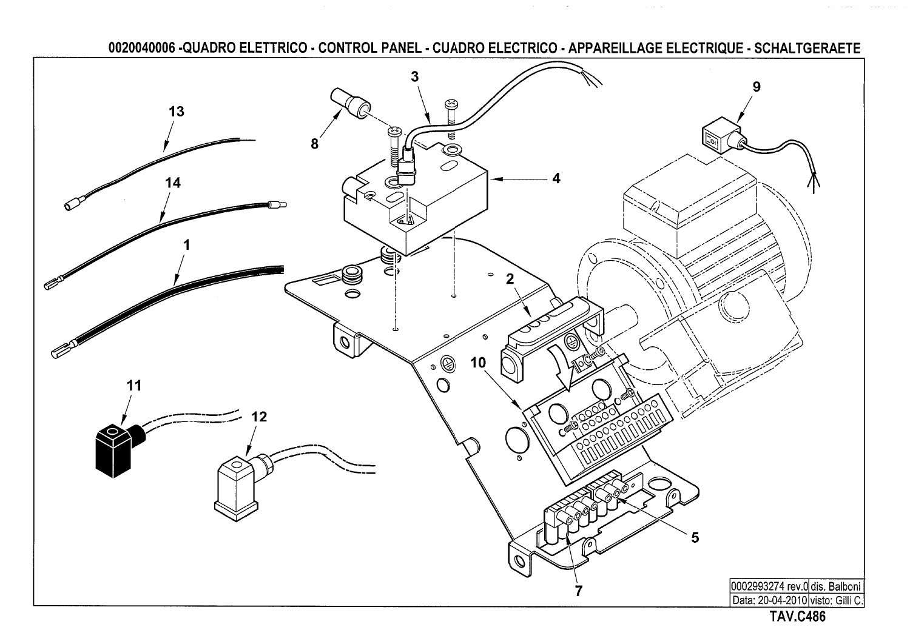0020040006 -QUADRO ELETTRICO - CONTROL PANEL - CUADRO ELECTRICO - APPAREILLAGE ELECTRIQUE - SCHALTGERAETE